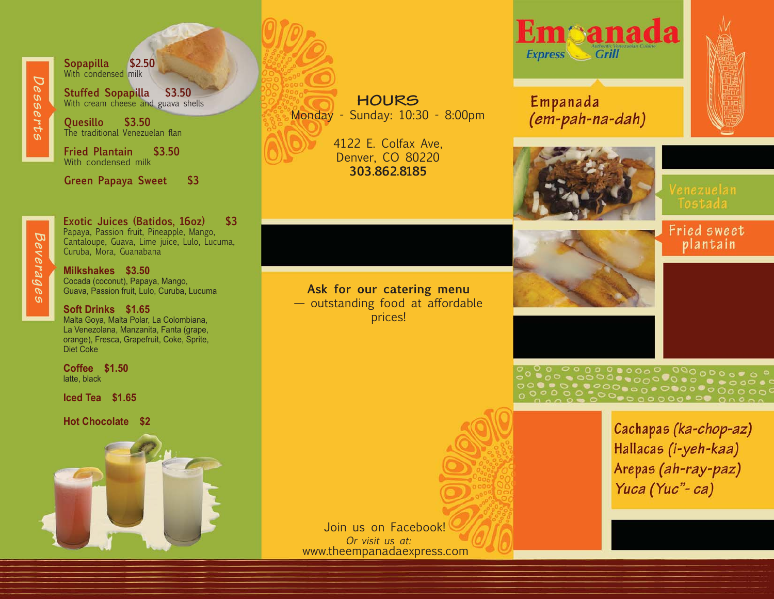*Desserts*

**Sopapilla \$2.50** With condensed milk

**Stuffed Sopapilla \$3.50** With cream cheese and guava shells

**Quesillo \$3.50** The traditional Venezuelan flan

**Fried Plantain \$3.50** With condensed milk

**Green Papaya Sweet \$3**

*Beverages*

**Exotic Juices (Batidos, 16oz) \$3** Papaya, Passion fruit, Pineapple, Mango, Cantaloupe, Guava, Lime juice, Lulo, Lucuma, Curuba, Mora, Guanabana

**Milkshakes \$3.50** Cocada (coconut), Papaya, Mango, Guava, Passion fruit, Lulo, Curuba, Lucuma

**Soft Drinks \$1.65** Malta Goya, Malta Polar, La Colombiana, La Venezolana, Manzanita, Fanta (grape, orange), Fresca, Grapefruit, Coke, Sprite, Diet Coke

**Coffee \$1.50** latte, black

**Iced Tea \$1.65**

**Hot Chocolate \$2**